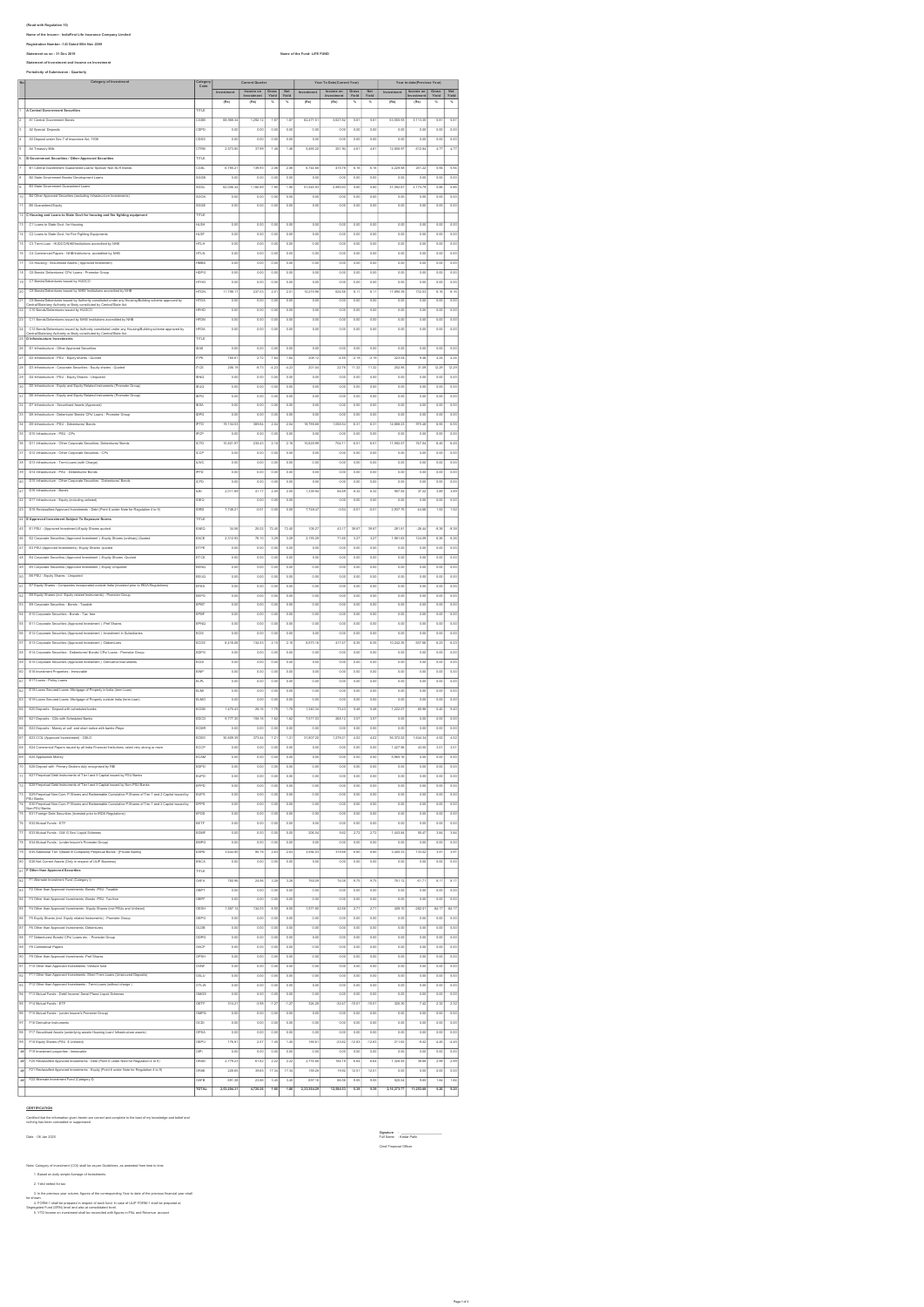iffeur sim Republicans 19)<br>Neuro et des la marca : includinal Life Insurance Company Limited<br>Republicate Number : 140 Chined Site New 2020<br>Zianiment of lowesteria et decomes on lovestment<br>Phytoidicity of Submission: Chantl Category of Investment Current Quarter Year To Date(Current Year) Year to date(Previous Year)

|                            | Category of Investment                                                                                                                                                      |                                  | <b>Current Quart</b> |                    | Year To Date(Current Year) |                   |                   |                  | Year to date(Previous Year) |                           |                    |                          |                     |                   |
|----------------------------|-----------------------------------------------------------------------------------------------------------------------------------------------------------------------------|----------------------------------|----------------------|--------------------|----------------------------|-------------------|-------------------|------------------|-----------------------------|---------------------------|--------------------|--------------------------|---------------------|-------------------|
|                            |                                                                                                                                                                             | lategory<br>Code                 | Investment           | Income on          |                            |                   | Investment        | Income on        |                             |                           | Investment         | Income on                |                     |                   |
|                            |                                                                                                                                                                             |                                  | (Rx)                 | Investment<br>(Re) | Gross<br>Yisid<br>s,       | Net<br>Yield<br>× | (Ra)              | estment<br>(Rx)  | Gross<br>Yield<br>×,        | Net<br>Yield<br>×.        | (Re)               | restme<br>(Ru)           | Gross<br>Yield<br>x | Net<br>Yield<br>× |
|                            | A Central Government Securities                                                                                                                                             | me                               |                      |                    |                            |                   |                   |                  |                             |                           |                    |                          |                     |                   |
|                            | A1 Central Government Bonds                                                                                                                                                 | case                             | 08.968.34            | 1,292.12           | 1.87                       | 187               | 62.471.5          | 3.627.8          | 5.81                        | 5.81                      | 53.555.93          | 3,113.35                 | 5.81                | 5.81              |
|                            | A2 Special Deposits                                                                                                                                                         |                                  |                      |                    |                            |                   |                   |                  |                             |                           |                    |                          |                     |                   |
|                            |                                                                                                                                                                             | 28PD<br>$\overline{\phantom{a}}$ | 0.01                 | 0.01               | 0.00                       | 0.00              | 0.0               | 0.0              | 0.00                        | 0.0                       | 0.0                | 0.05                     | 0.00                | 0.00              |
|                            | AS Deposit under Sec 7 of Insurance Act, 1938                                                                                                                               |                                  | 0.01                 | 0.01               | 0.01                       | 0.00              | $\overline{a}$    | 0.0              | 0.01                        | $\overline{\circ}$        | $\overline{0.00}$  | 0.05                     | 0.00                | 0.00              |
|                            | A4 Treasury Bills                                                                                                                                                           | cris                             | 2,573.8              | 37.95              | 1.48                       | 1.48              | 5,465.2           | 251.9            | 4.6                         | 4.6                       | 12,858.97          | 612.84                   | 4.7                 | 4.77              |
|                            | B Government Securities / Other Approved Securities                                                                                                                         | mie                              |                      |                    |                            |                   |                   |                  |                             |                           |                    |                          |                     |                   |
|                            | B1 Central Government Guaranteed Loana/ Special/ Non-SLR Bonda                                                                                                              | cas.                             | 6,785.2              | 139.93             | 2.06                       | $\overline{2.00}$ | 6,744.6           | 415.75           | 6.16                        | 6.10                      | 4,229.58           | 251.22                   | 5.94                | 5.94              |
|                            | B2 State Government Bonda/ Development Loans                                                                                                                                | <b>SCCE</b>                      | 0.00                 | 0.01               | 0.00                       | 0.00              | 0.01              | 0.0              | 0.00                        | 0.0                       | 0.00               | 0.00                     | 0.00                | 0.00              |
|                            | <b>B3 State Government Guaranteed Loans</b>                                                                                                                                 | <b>SGGL</b>                      | 62,006.34            | 1,180.89           | 1.90                       | 1.90              | 51,545.93         | 2,990.83         | 5.80                        | 5.80                      | 37,092.67          | 2,174.79                 | 5.88                | 5.86              |
| 10                         | B4 Other Approved Securities (excluding Infrastructure Investments)                                                                                                         | scon                             | 0.00                 | 0.00               | 0.00                       | 0.00              | 0.00              | 0.00             | 0.00                        | 0.00                      | 0.00               | 0.00                     | 0.00                | 0.00              |
| $\overline{\mathbf{1}}$    | <b>B5 Guaranteed Equity</b>                                                                                                                                                 | soce                             | 0.00                 | 0.00               | 0.00                       | 0.00              | 0.00              | 0.00             | 0.00                        | 0.00                      | 0.00               | 0.00                     | 0.00                | 0.00              |
| $\overline{12}$            | C Housing and Loans to State Govt for housing and fire fighting equipment                                                                                                   | me                               |                      |                    |                            |                   |                   |                  |                             |                           |                    |                          |                     |                   |
| $\overline{13}$            | C1 Lease to State Cout for Housian                                                                                                                                          | <b>HLSH</b>                      | 0.00                 | 0.00               | 0.00                       | 0.00              | $\overline{a}$    | 0.00             | $\overline{0.00}$           | 0.00                      | 0.00               | 0.00                     | 0.00                | 0.00              |
|                            | C2 Loans to State Govt. for Fire Fighting Equipments                                                                                                                        | нs                               | 0.01                 | 0.01               | 0.00                       | $\overline{0.00}$ | 0.01              | $\overline{0.0}$ | 0.00                        | $\overline{0}$            | 0.0                | $\overline{0}$           | $\overline{0.00}$   | 0.00              |
|                            | C3 Term Loan - HUDCONNR/Institutions according by MHR                                                                                                                       | m                                | 0.01                 | 0.01               | 0.00                       | 0.00              | 0.01              | 0.0              | 0.00                        | 0.0                       | 0.0                | 0.O                      | 0.00                | 0.00              |
|                            | C4 Commercial Papers - NHS/Institutions accredited by NHS                                                                                                                   | <b>HTLN</b>                      | 0.01                 | 0.01               | $\overline{\circ}$         | 0.00              | 0.01              | 0.0              | 0.00                        | $\overline{\circ}$        | $\overline{\circ}$ | $\overline{\circ}$       | 0.00                | 0.00              |
|                            | C5 Housing - Securitised Assets ( Approved Investment)                                                                                                                      | $\overline{w}$                   | 0.0                  | $\overline{a}$     | 0.0                        | 0.0               | $\overline{a}$    | 0.0              | 0.0                         | 0.0                       | 0.0                | $\overline{0}$           | 0.00                | 0.00              |
| 18                         | OS Bonda/ Debenturea/ CPa/ Loans - Promotor Group                                                                                                                           | HDPG                             | 0.01                 | 0.00               | 0.01                       | 0.00              | 0.01              | 0.00             | 0.01                        | 0.0                       | 0.00               | 0.05                     | 0.00                | 0.00              |
| 19                         | C7 Bonds/Debentures issued by HUDCO                                                                                                                                         | HTHD                             | 0.01                 | 0.01               |                            | 0.00              | 0.01              | 0.01             |                             | 0.0                       | 0.00               | 0.0                      | 0.00                | 0.00              |
|                            |                                                                                                                                                                             | <b>HTDN</b>                      |                      |                    | 0.01                       |                   |                   |                  | 0.01                        |                           |                    |                          |                     |                   |
|                            | C5 Bonds/Debentures issued by NHB/ Institutions accredited by NHB                                                                                                           |                                  | 11,798.1             | 237.00             | 2.01                       | 2.01              | 10,219.9          | 624.5            | 6.1'                        | 6.1                       | 11,890.32          | 732.57                   | 6.16                | 6.16              |
| 21                         | C9 Bonds/Deb<br>ibentures issued by Authority constituted under any Housing/Building scheme approved by<br>ny Authority or Body constituted by Central/State Act.           | <b>HTDA</b>                      | 0.00                 | 0.00               | 0.00                       | 0.00              | 0.00              | 0.00             | 0.00                        | 0.00                      | 0.00               | 0.00                     | 0.00                | 0.00              |
| $\overline{22}$            | C10 Bonda/Debenfunes issued by HUDCO                                                                                                                                        | HFHD                             | 0.00                 | 0.00               | 0.00                       | 0.00              | 0.00              | 0.00             | 0.00                        | 0.00                      | 0.00               | 0.00                     | 0.00                | 0.00              |
| $\overline{23}$            | C11 Bonda/Debentures issued by NHB/ Institutions accredited by NHB                                                                                                          | <b>HFDN</b>                      | 0.00                 | 0.00               | 0.00                       | 0.00              | 0.00              | 0.00             | 0.00                        | 0.00                      | 0.00               | 0.00                     | 0.00                | 0.00              |
| $^{24}$                    | C12 Bonds/Deberiures issued by Authority coratituted under any Housing/Building scheme approved by<br>Central/Statelery Authority or Body constituted by Central/State Act. | <b>HFDA</b>                      | 0.00                 | 0.00               | 0.00                       | 0.00              | 0.00              | 0.00             | 0.00                        | 0.00                      | 0.00               | 0.00                     | 0.00                | 0.00              |
|                            | 25 D Infrastructure Investments                                                                                                                                             | TITLE                            |                      |                    |                            |                   |                   |                  |                             |                           |                    |                          |                     |                   |
| $\overline{25}$            | D1 Infrastructure - Other Approved Securities                                                                                                                               | BAS                              | 0.00                 | $\overline{0.00}$  | 0.00                       | 0.00              | 0.00              | 0.00             | 0.00                        | $\overline{\circ \alpha}$ | 0.00               | 0.00                     | $\overline{0.00}$   | 0.00              |
| 27                         | D2 Infrastructure - PSU - Equity shares - Quoted                                                                                                                            | TPE                              | 165.6                | 27                 | 1.6                        | 1.64              | 208.1             | 42               | $-2.11$                     | $^{21}$                   | 223.0              | 2.40                     | 424                 | 4.24              |
| 28                         | D3 Infrastructure - Corporate Securities - Equity shares - Quoted                                                                                                           | rce                              | 206.19               | $\overline{37}$    | $-4.2$                     | $\overline{42}$   | 201.0             | 22.76            | 11.3                        | 11.3                      | 252.93             | 31.09                    | 12.26               | 12.29             |
| 29                         | D4 Infrastructure - PSU - Equity Shares - Unquoted                                                                                                                          | ENG                              | $\overline{0.01}$    | 0.00               | 0.00                       | 0.00              | $\overline{00}$   | $\overline{0.0}$ | 0.00                        | $\overline{0}$            | $\overline{00}$    | $\overline{0.05}$        | 0.00                | 0.00              |
| 30                         | D5 Infrastructure - Equity and Equity Related Instruments (Promoter Group)                                                                                                  | EUQ                              | 0.00                 | $rac{1}{2}$        | 0.00                       | 0.00              | 0.01              | 0.00             | 0.00                        | 0.00                      | 0.00               | 0.00                     | 0.00                | 0.00              |
| 31                         | DS Infrastructure - Equity and Equity Related Instruments (Promoter Group)                                                                                                  | EPG                              | 0.01                 | 0.01               | 0.00                       | $\alpha$          | 0.01              | 0.01             | 0.01                        | 0.0                       | 0.00               | $\overline{0}$           | 0.00                | 0.00              |
| 32                         | D7 Infrastructure - Securitised Assets (Approved)                                                                                                                           | ESA                              | 0.01                 | $\overline{a}$     | 0.00                       | 0.00              | 0.01              | 0.00             | 0.00                        | $\overline{00}$           | $\overline{0.00}$  | $\overline{\circ}$       | 0.00                | 0.00              |
| 22                         | DS Infrastructure - Debenture/ Bonda/ CPs/ Loans - Promoter Group                                                                                                           |                                  | 0.0                  | 0.01               | 0.00                       | 0.00              | 0.0               | 0.0              | 0.00                        | 0.0                       | 0.00               | 0.0                      | 0.00                | 0.00              |
| 34                         | D9 Infrastructure - PSU - Debentures/ Bond                                                                                                                                  | PTD                              | 19, 134.53           | 382.84             | 2.04                       | 2.04              | 16,785.61         | 1,058.54         | 6.31                        | 6.31                      | 14,888.23          | 975.48                   | 6.55                | 6.55              |
| 35                         |                                                                                                                                                                             |                                  |                      |                    |                            |                   |                   |                  |                             | $\overline{0.00}$         |                    |                          |                     | 0.00              |
|                            | D10 Infrastructure - PSU - CPs                                                                                                                                              | PCF                              | 0.00                 | 0.00               | 0.00                       | 0.00              | 0.01              | 0.00             | 0.00                        |                           | 0.00               | 0.00                     | 0.00                |                   |
| 36                         | D11 Infrastructure - Other Corporate Securities- Debentures/ Bonda                                                                                                          | CTD                              | 10,821.97            | 235.43             | 2.18                       | 2.55              | 10,820.95         | 704.1            | 6.51                        | 6.51                      | 11,592.57          | 747.54                   | 6.45                | 6.45              |
| $\overline{37}$            | D12 Infrastructure - Other Corporate Securities - CPs                                                                                                                       | ccp                              | 0.01                 | 0.00               | 0.00                       | 0.00              | 0.01              | 0.00             | 0.00                        | 0.00                      | 0.00               | 0.00                     | 0.00                | 0.00              |
| $\overline{\overline{36}}$ | D13 Infrastructure - Term Loans (with Charge)                                                                                                                               | <b>LWC</b>                       | $\overline{0.01}$    | $\overline{ac}$    | $\overline{\circ}$         | $\overline{0.00}$ | $\overline{0.01}$ | 0.00             | $\overline{0.00}$           | $\overline{00}$           | 0.00               | $\overline{0.00}$        | 0.00                | 0.00              |
|                            | D14 Infrastructure - D511 - Debardures (Roods                                                                                                                               | PFD                              | 0.01                 | 0.01               | $\overline{\alpha}$        | 0.00              | 0.01              | 0.01             | 0.0                         | 0.0                       | 0.0                | 0.0                      | 0.00                | 0.00              |
|                            | D15 Infrastructure - Other Corporate Securities - Deb                                                                                                                       | cro                              | 0.0                  | 0.01               | o.c                        | o.o               | 0.0               | 0.0              | 0.0                         | 0.0                       | 0.0                | $\overline{a}$           | 0.00                | 0.00              |
| 41                         | D16 Infrastructure - Bonds                                                                                                                                                  | $\overline{15}$                  | 2,011.8              | 41.17              | 24                         | 2.05              | 1,332.9           | 84.0             | 6.3                         | $\overline{63}$           | 957.92             | 37.2                     | 3.8                 | 3.89              |
| $\overline{42}$            | D17 Infrastructure - Equity (including unlisted)                                                                                                                            | oec                              |                      | ao                 |                            | 0.0               |                   | 0.0              | 0.0                         | 0.0                       |                    | $\overline{0}$           | 0.0                 | 0.00              |
| 43                         | D15 Reclassified Approved Investments - Debt (Point 6 under Note for Regulation 4 to 9                                                                                      | oro                              | 7,748.2              | $-0.0$             | 0.01                       | 0.00              | 7,748.4           | $-0.5$           | $-0.0$                      | $-0.0$                    | 2,937.75           | 44,0                     | 1.52                | 1.52              |
|                            | <b>E Approved Investment Subject To Exposure Norms</b>                                                                                                                      | mue                              |                      |                    |                            |                   |                   |                  |                             |                           |                    |                          |                     |                   |
| 45                         | E1 PSU - (Approved Investment)-Equity Shares quoted                                                                                                                         | EAEQ                             | 34.5                 | 25.02              | 72.40                      | 72.40             | 108.2             | 43.1             | 39.87                       | 39.8                      | 281.81             | $-26.4$                  | $-2.38$             | $-2.38$           |
| 46                         | E2 Corporate Securities (Approved Investment ) -Equity Shares (ordinary)-Quoted                                                                                             | EACE                             | 2,312.92             | 76.10              | 3.29                       | 3.29              | 2,193.29          | 71.65            | 3.27                        | 3.21                      | 1,981.63           | 124.03                   | 6.26                | 6.26              |
|                            |                                                                                                                                                                             |                                  |                      |                    |                            |                   |                   |                  |                             |                           |                    |                          |                     |                   |
| $\overline{47}$            | E3 PSU-(Approved Investments) -Equity Shares -quoted                                                                                                                        | ETPE                             | 0.00                 | 0.00               | 0.00                       | 0.00              | 0.00              | 0.00             | 0.00                        | 0.00                      | 0.00               | 0.00                     | 0.00                | 0.00              |
| 48                         | E4 Corporate Securities (Approved Investment) -Equity Shares -Quoted                                                                                                        | ETCE                             | 0.00                 | 0.00               | 0.00                       | 0.00              | 0.00              | 0.00             | 0.00                        | 0.00                      | 0.00               | 0.00                     | 0.00                | 0.00              |
| 49                         | E5 Corporate Securities (Approved Investment) -Equity Unquoted                                                                                                              | EENO                             | 0.00                 | 0.00               | 0.00                       | 0.00              | 0.00              | 0.00             | 0.00                        | 0.00                      | 0.00               | 0.00                     | 0.00                | 0.00              |
| $\overline{50}$            | E6 PSU - Equity Shares - Unquoted                                                                                                                                           | EEUO                             | 0.00                 | 0.00               | 0.00                       | 0.00              | $\overline{a}$    | 0.00             | 0.00                        | 0.00                      | 0.00               | 0.00                     | 0.00                | 0.00              |
| 51                         | E7 Equity Shares - Companies incorporated outside India (invested prior to IRDA Re                                                                                          | EFES                             | 0.00                 | 0.00               | 0.00                       | 0.00              | 0.00              | 0.00             | 0.00                        | 0.00                      | 0.00               | 0.00                     | 0.00                | 0.00              |
| 52                         | E8 Equity Shares (incl. Equity related Instruments) - Promoter Group                                                                                                        | EEPG                             | 0.00                 | 0.C                | 0.00                       | 0.00              | 0.01              | 0.0              | 0.0                         | 0.0                       | 0.0                | 0.05                     | 0.00                | 0.00              |
| 53                         | E9 Corporate Securities - Bonds - Taxable                                                                                                                                   | EPBT                             | $\overline{\circ}$   | $\overline{a}$     | 0.01                       | 0.00              | 0.01              | o.o              | 0.01                        | $\overline{\circ}$        | $\overline{\circ}$ | 0.00                     | 0.00                | 0.00              |
| 54                         | E10 Corporate Securities - Bonds - Tax free                                                                                                                                 | EPBF                             | 0.00                 | 0.01               | 0.00                       | 0.00              | 0.01              | 0.0              | 0.00                        | 0.0                       | 0.0                | 0.00                     | 0.0                 | 0.00              |
|                            | E11 Corporate Securities (Approved Investment ) -Pref Shares                                                                                                                | EPNO                             | 0.00                 | 0.01               | 0.00                       | 0.00              | 0.01              | 0.0              | 0.00                        | 0.0                       | 0.00               | 0.00                     | 0.00                | 0.00              |
|                            | E12 Corporate Securities (Approved Investment ) -investment in Subsidiaries                                                                                                 | ECIS                             | 0.00                 | 0.01               | 0.00                       | 0.00              | 0.01              | 0.00             | 0.00                        | $\overline{00}$           | 0.00               | $\overline{\circ \circ}$ | 0.00                | 0.00              |
|                            | E13 Corporate Securities (Approved Investment ) -Debentures                                                                                                                 | ECOS                             | 6,416.0              | 134.5              | 2.10                       | 2.10              | 6,573.1           | 417.4            | 6.35                        | 63                        | 10,242.35          | 637.66                   | 6.23                | 6.23              |
|                            | E14 Corporate Securities - Debentures/ Bonda/ CPs/ Loans - Promoter Group                                                                                                   | EDPG                             | 0.00                 | 0.00               | 0.00                       | 0.00              | 0.00              | 0.00             | 0.00                        | 0.00                      | 0.00               | 0.00                     | 0.00                | 0.00              |
|                            | E15 Corporate Securities (Approved Investment ) -Derivative Instruments                                                                                                     | ECDE                             | 0.00                 | 0.00               | 0.00                       | 0.00              | 0.00              | 0.00             | 0.00                        | 0.00                      | 0.00               | 0.00                     | 0.00                | 0.00              |
|                            | E16 Investment Properties - Immovable                                                                                                                                       | ENP                              | 0.00                 | 0.01               | 0.00                       | 0.00              | 0.00              | 0.00             | 0.00                        | 0.00                      | 0.00               | 0.00                     | 0.00                | 0.00              |
|                            |                                                                                                                                                                             |                                  |                      |                    |                            |                   |                   |                  |                             |                           |                    |                          |                     |                   |
| G1                         | E17 Loans - Policy Loans                                                                                                                                                    | <b>ELPL</b>                      | 0.00                 | 0.01               | 0.00                       | 0.00              | 0.00              | 0.00             | 0.00                        | 0.0                       | 0.00               | 0.00                     | 0.00                | 0.00              |
| 62                         | E18 Loans Secured Loans -Mortgage of Property in India (term Loan)                                                                                                          | ELM                              | 0.00                 | 0.00               | $\overline{0.00}$          | 0.00              | $\overline{a}$    | 0.00             | 0.00                        | $\overline{\circ}$        | 0.00               | 0.00                     | 0.00                | 0.00              |
| $\overline{\mathbf{c}}$    | E19 Loans Secured Loans -Mortgage of Property outside India (term Los                                                                                                       | ELMO                             | 0.00                 | 0.01               | 0.00                       | $\overline{0.00}$ | 0.01              | 0.00             | 0.00                        | $\overline{0}$            | 0.00               | 0.00                     | $\overline{0.00}$   | 0.00              |
|                            | E20 Deposits - Deposit with scheduled banks                                                                                                                                 | icos                             | 1,470.43             | 26.1               | 1.71                       | 1.70              | 1,340.3           | 73.4             | 5.41                        | 54                        | 1,222.0            | 65.9                     | 5.40                | 5.40              |
|                            | E21 Deposits - CDs with Scheduled Banks                                                                                                                                     | epce                             | 2.777.3              | 158.1              | 1.6                        | 1.6               | 7,517.0           | 268.12           | 35                          | 35                        | 0.0                | $\overline{\circ}$       | 0.00                | 0.00              |
|                            | E22 Deposits - Money at call and short notice with banks /Repo                                                                                                              | ECM                              | 0.0                  | $\overline{a}$     | 0.G                        | 0.0               | $\overline{a}$    |                  | 0.0                         | 0.0                       | $\overline{0}$     | $\overline{\circ}$       | 0.0                 | 0.00              |
|                            | E23 CCL (Approved Investement) - CBLO                                                                                                                                       | ECBO                             | 30,809.35            | 373.4              | $\overline{12}$            | 1,21              | 31,807.20         | 1,278.2          | 4.02                        | 4.02                      | 36,372.5           | 1,643                    | 4.52                | 4.52              |
| $\overline{c}$             | E24 Commercial Papers issued by all India Financial Institutions rated very strong or more                                                                                  | ECCP                             | 0.00                 | 0.01               | 0.01                       | 0.00              | 0.01              | 0.00             | 0.01                        | 0.0                       | 1,427.98           | 43.0                     | 3.01                | 3.01              |
|                            | E25 Application Money                                                                                                                                                       | ECAM                             | 0.00                 | 0.00               | 0.00                       | 0.00              | 0.01              | 0.00             | 0.00                        | 0.0                       | 5,965.16           | 0.05                     | 0.00                | 0.00              |
|                            | E26 Deposit with Primary De:<br>lera duly recogni<br>ed by RB                                                                                                               | EDPD                             | 0.00                 | 0.00               | 0.00                       | 0.00              | 0.00              | 0.00             | 0.00                        | 0.00                      | 0.00               | 0.00                     | 0.00                | 0.00              |
| 71                         | E27 Perpetual Debt Instruments of Tier I and Il Capital issued by PSU Banks                                                                                                 | EUPD                             | 0.00                 | 0.00               | 0.00                       | 0.00              | 0.00              | 0.00             | 0.00                        | 0.00                      | 0.00               | 0.00                     | 0.00                | 0.00              |
| 72                         | E28 Perpetual Debt Instruments of Tier I and Il Capital issued by Non-PSU Banks                                                                                             | EPPD                             | 0.00                 | 0.00               | 0.00                       | 0.00              | 0.00              | 0.00             | 0.00                        | 0.00                      | 0.00               | 0.00                     | 0.00                | 0.00              |
| 73                         | E29 Perpetual Non-Cum, P.Shares and Redeemable Cumulative P.Shares of Tier 1 and 2 Capital issued by                                                                        | EUPS                             | 0.00                 | 0.00               | 0.00                       | 0.00              | 0.00              | 0.00             | 0.00                        | 0.00                      | 0.00               | 0.00                     | 0.00                | 0.00              |
| 74                         | WВ<br>thail Non-Cum. P.Shares and Redeemable Cumulative P.Shares of Tier 1 and 2 Capital issued by<br>E30 Pr                                                                | EPPS                             | 0.00                 | 0.00               | 0.00                       | 0.00              | 0.00              | 0.00             | 0.00                        | 0.00                      | 0.00               | 0.00                     | 0.00                | 0.00              |
| 75                         | PSU Banka<br>E31 Foreign Debt Securities (Invested prior to RDA Regulations)                                                                                                | EFDS                             | 0.00                 | 0.00               | 0.00                       | 0.00              | 0.00              | 0.00             | 0.00                        | 0.00                      | 0.00               | 0.00                     | 0.00                | 0.00              |
| 78                         | E32 Mutual Funds - ETF                                                                                                                                                      | EETP                             | 0.00                 | 0.00               | 0.00                       | 0.00              | 0.00              | 0.00             | 0.05                        | 0.05                      | 0.00               | 0.00                     | 0.00                | 0.00              |
|                            |                                                                                                                                                                             | EGM                              | 0.00                 |                    | 0.00                       | $\overline{0.00}$ | 206.5             | 5.62             |                             | 27                        |                    | 55.47                    | 3.84                |                   |
| 77                         | E33 Mutual Funds - Git/ G Sec/ Liquid Schemes                                                                                                                               | EMPG                             |                      | 0.00               |                            |                   |                   |                  | 2.72                        |                           | 1,443.84           |                          |                     | 3.84              |
| 78                         | E34 Mutual Funds - (under Insurer's Promoter Group)                                                                                                                         |                                  | 0.00                 | 0.00               | 0.00                       | 0.00              | $rac{1}{2}$       | 0.00             | 0.00                        | $\overline{\circ \alpha}$ | 0.00               | 0.05                     | 0.00                | 0.00              |
| 79                         | E35 Additional Tier 1(Basel III Compliant) Perpetual Bonda - (Private Banks)                                                                                                | EAPE                             | 3,644.90             | 95.78              | 26                         | $\overline{2E}$   | 3,504.03          | 319.88           | 8.90                        | 3.9                       | 3,400.33           | 133.02                   | 3.91                | 3.91              |
| $\overline{30}$            | E36 Net Current Assets (Only in respect of ULP Business)                                                                                                                    | ENCA                             | 0.00                 | 0.00               | 0.00                       | 0.00              | 0.00              | 0.00             | 0.00                        | 0.00                      | 0.00               | 0.00                     | 0.00                | 0.00              |
|                            | 81 F Other than Approved Securities                                                                                                                                         | TITLE                            |                      |                    |                            |                   |                   |                  |                             |                           |                    |                          |                     |                   |
| $\overline{12}$            | F1 Alternate Investment Fund (Category I)                                                                                                                                   | <b>OAFA</b>                      | 760.96               | 24.98              | 3.28                       | 3.28              | TEQ.D             | 74.08            | 2.75                        | 2.75                      | 761.12             | 61.7                     | 8.11                | 8.11              |
| as                         | F2 Other than Approved Investments -Bonds -PSU- Taxable                                                                                                                     | OBPT                             | 0.00                 | 0.00               | 0.00                       | 0.00              | 0.00              | 0.00             | 0.00                        | 0.00                      | 0.00               | 0.00                     | 0.00                | 0.00              |
| $\overline{\mathfrak{u}}$  | F3 Other than Approved Investments -Bonds -PSU- Tax free                                                                                                                    | OBP                              | 0.00                 | 0.00               | 0.00                       | 0.00              | 0.00              | 0.00             | 0.00                        | 0.00                      | 0.00               | 0.00                     | 0.00                | 0.00              |
| 85                         | F4 Other than Approved Investments - Equity Shares (incl PSUs and Unlated)                                                                                                  | OESH                             | 1,567.14             | 134.03             | 8.55                       | 8.55              | 1,571.80          | 42.55            | 2.71                        | 27                        | 409.10             | $-262.5$                 | $-64.17$            | $-64.17$          |
| as                         | F5 Equity Shares (ind. Equity related Instruments) - Promoter Group                                                                                                         | OERG                             | 0.00                 | 0.00               | 0.00                       | 0.00              | 0.00              | 0.00             | 0.00                        | 0.00                      | 0.00               | 0.00                     | 0.00                | 0.00              |
| <b>a</b> z                 | F6 Other than Approved Investments -Debenfures                                                                                                                              | $\overline{\alpha}$ .pe          | 0.00                 | $\overline{ac}$    | 0.00                       | $\overline{0.00}$ | $\overline{ac}$   | 0.00             | 0.00                        | $\overline{0.00}$         | 0.00               | 0.05                     | 0.00                | 0.00              |
| 88                         | F7 Debentures/ Bonda/ CPs/ Loans etc. - Promoter Group                                                                                                                      | OOPG                             | 0.01                 | $rac{1}{2}$        | 0.00                       | 0.00              | 0.00              | 0.00             | 0.00                        | 0.0                       | 0.00               | 0.0                      | 0.00                | 0.00              |
|                            |                                                                                                                                                                             |                                  |                      |                    |                            |                   |                   |                  |                             |                           |                    |                          |                     |                   |
| 89                         | F8 Commercial Papers                                                                                                                                                        | жa                               | 0.0                  | 0.01               | 0.0                        | 0.0               | 0.01              | 0.0              | 0.00                        | 0.0                       | 0.0                | 0.0                      | 0.00                | 0.00              |
| 30                         | F9 Other than Approved Investments -Pref Shares                                                                                                                             | ops-                             | $\overline{00}$      | 0.01               | 0.00                       | 0.00              | 0.01              | 0.0              | 0.00                        | 0.0                       | $\overline{\circ}$ | 0.05                     | 0.00                | 0.00              |
| 91                         | 10 Other than Approved Investments - Venture fund                                                                                                                           | W                                | 0.0                  | 0.01               | 0.0                        | 0.0               | 0.01              | 0.0              | 0.00                        | 0.0                       | 0.0                | 0.0                      | 0.00                | 0.00              |
| 92                         | F11 Other than Approved Investments -Short Trem Loans (Unsecured Depo                                                                                                       | uscu                             | 0.00                 | 0.00               | 0.01                       | 0.00              | 0.00              | 0.00             | 0.00                        | 0.00                      | 0.00               | 0.05                     | 0.00                | 0.00              |
| 93                         | F12 Other than Approved Investments - Term Loans (without change.)                                                                                                          | otuw                             | 0.00                 | $\overline{a}$     | 0.00                       | 0.00              | 0.00              | 0.00             | 0.00                        | 0.05                      | 0.00               | 0.05                     | 0.00                | 0.00              |
| 24                         | F13 Mutual Funds - Debt/ Income/ Serial Plans/ Liquid Schemes                                                                                                               | SOMC                             | 0.00                 | 0.00               | 0.00                       | 0.00              | 0.01              | 0.00             | 0.00                        | 0.00                      | 0.00               | 0.00                     | 0.00                | 0.00              |
| 95                         | F14 Matual Funds - ETF                                                                                                                                                      | OETF                             | 314.21               | $-3.98$            | $-1.27$                    | $-1.27$           | 324.28            | $-32.47$         | $-10.01$                    | $-10.01$                  | 320.30             | 7.42                     | 2.32                | 2.32              |
| $\overline{\infty}$        | F15 Mutual Funds - (under Insurer's Promoter Group)                                                                                                                         | <b>OMPG</b>                      | 0.00                 | 0.00               | 0.00                       | 0.00              | 0.00              | 0.00             | 0.00                        | 0.00                      | 0.00               | 0.00                     | 0.00                | 0.00              |
| 97                         | F16 Derivative Instruments                                                                                                                                                  | OCDI                             | 0.00                 | 0.00               | 0.00                       | 0.00              | 0.00              | 0.00             | 0.00                        | 0.00                      | 0.00               | 0.00                     | 0.00                | 0.00              |
|                            |                                                                                                                                                                             |                                  |                      |                    |                            |                   |                   |                  |                             |                           |                    |                          |                     |                   |
| 98                         | F17 Securitised Assets (underlying assets Housing Loan/ Infrastructure assets)                                                                                              | OPSA                             | 0.00                 | 0.00               | 0.00                       | 0.00              | 0.00              | 0.00             | 0.00                        | 0.00                      | 0.00               | 0.00                     | 0.00                | 0.00              |
| 39                         | F18 Equity Shares (PSU \$ Unlated)                                                                                                                                          | <b>OEPU</b>                      | 176.91               | 257                | 1.45                       | 1.45              | 185.61            | $-23.82$         | $-12.83$                    | $-12.83$                  | 211.62             | $-2.42$                  | 4.45                | 4.45              |
| $\overline{a}$             | F19 Investment properties - Immovable                                                                                                                                       | OPI                              | 0.00                 | 0.00               | 0.00                       | 0.00              | 0.00              | 0.00             | 0.00                        | 0.00                      | 0.00               | 0.00                     | 0.00                | 0.00              |
| $\overline{1}$             | F20 Reclassified Approved Investments - Debt (Point 6 under Note for Regulation 4 to 9)                                                                                     | ORAD                             | 2,779.23             | 61.62              | 2.22                       | 22                | 2,774.6           | 184.18           | 6.G                         | 6.6                       | 1,328.92           | 39.68                    | 2.95                | 2.99              |
| $\overline{a}$             | F21 Reclassified Approved Investments - Equity (Point 6 under Note for Regulation 4 to 5)                                                                                   | ORAE                             | 228.65               | 32.65              | 17.34                      | 17.34             | 159.29            | 19.9             | $12.5^{\circ}$              | $\frac{1}{25}$            | 0.00               | 0.00                     | 0.00                | 0.00              |
| $\overline{a}$             | F22 Atemate Investment Fund (Category 1)                                                                                                                                    | OVS                              | 691.38               | 23.8               | 3.4                        | 345               | 697.16            | 65               | 2.5                         | $^{25}$                   | 525.04             | 2.52                     | 1.84                | 1.84              |
|                            |                                                                                                                                                                             | TOTAL                            | 2.53.204.31          | 4.720.26           | 1.86                       | 1.85              | 2.33.364.29       | 12.584.53        | 5.39                        | 5.33                      | 2.16.373.77        | 11,253.80                | 5.20                | 5.20              |

CERTIFICATION<br>Certified that the information given herein are correct and complete to the best of my knowledge and belief and<br>nothing has been concealed or suppressed

# Date : 06 Jan 2020 Full Name : Kedar Patki

bles Category of monitored COO shot lite as per Grideline, as annoted frontes to lite<br>- 2. Yeal named in day anying the processes<br>- 2. Yeal named to sure<br>- 2. Yeal named to sure<br>- 4. Yeal named to sure any column process

Signature : \_\_\_\_\_\_\_\_\_\_\_\_\_\_\_\_\_\_\_\_\_\_

Chief Financial Officer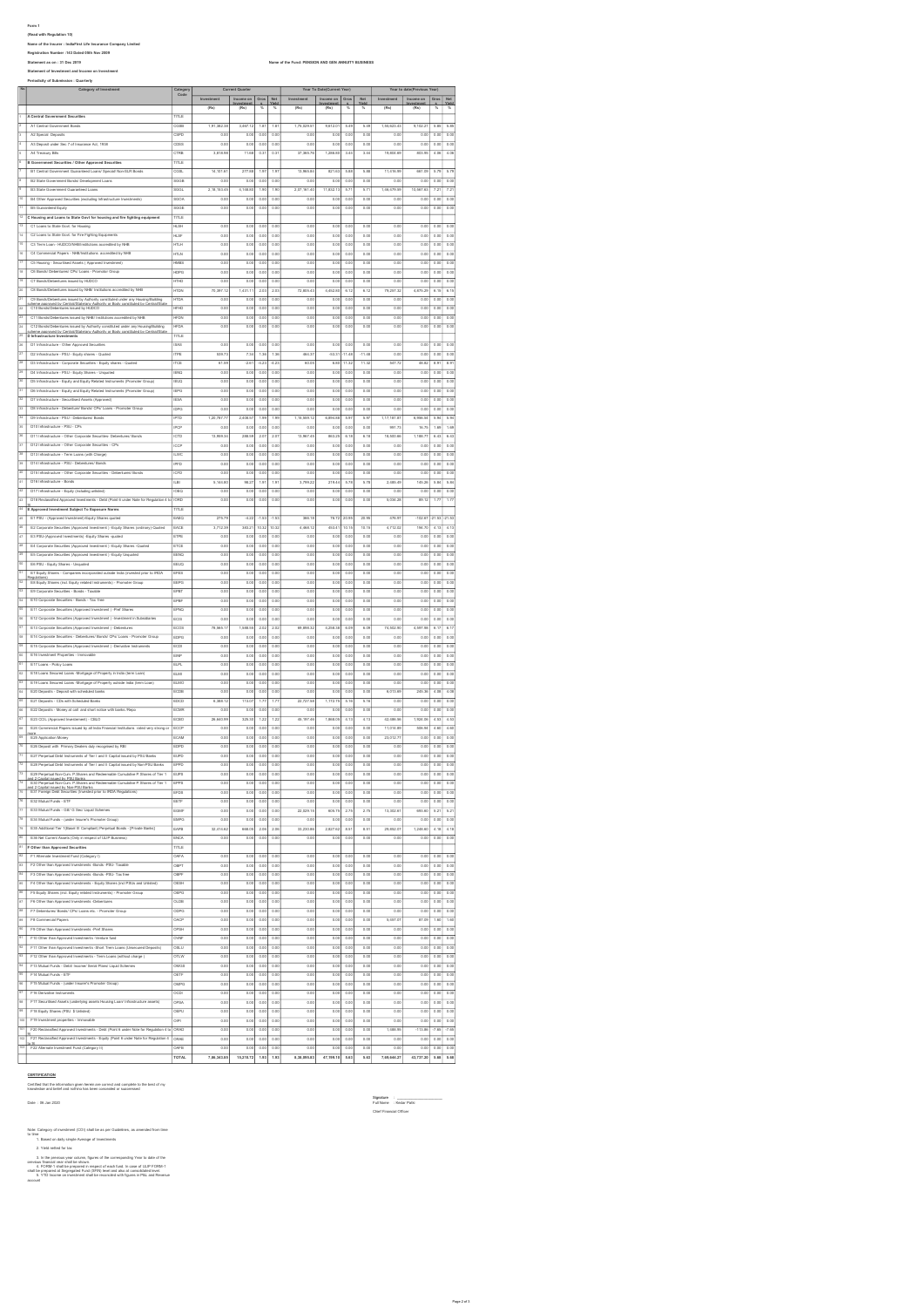Form 1 (Read with Regulation 10) Name of the Insurer : IndiaFirst Life Insurance Company Limited Registration Number :143 Dated 05th Nov 2009

Name of the Fund: PENSION AND GEN ANNUITY BUSINESS Statement of Investment and Income on Investment<br>Periodicity of Submission : Quarterly<br>No. Category of Investment Category Investment Income on Investment Gros s Net Yield Investment Income on Investment Gros s Net Yield Investment Income on Investment Gros s Net Yield (Rs) (Rs) % % (Rs) (Rs) % % (Rs) (Rs) % % <sup>1</sup> A Central Government Securities TITLE A1 Central Government Bonds CGSB 1,91,382.38 3,467.12 1.81 1.81 1,75,029.51 9,612.01 5.49 5.49 1,55,623.43 9,102.21 5.85 5.85 <sup>3</sup> A2 Special Deposits CSPD 0.00 0.00 0.00 0.00 0.00 0.00 0.00 0.00 0.00 0.00 0.00 0.00 <sup>4</sup> A3 Deposit under Sec 7 of Insurance Act, 1938 CDSS 0.00 0.00 0.00 0.00 0.00 0.00 0.00 0.00 0.00 0.00 0.00 0.00 <sup>5</sup> A4 Treasury Bills CTRB 3,818.98 11.68 0.31 0.31 37,365.76 1,286.80 3.44 3.44 19,804.69 803.95 4.06 4.06 B Government Securities / Other Approved Securities TITLE B1 Central Government Guaranteed Loans/ Special/ Non-SLR Bonds CGSL 14,101.61 277.88 1.97 1.97 13,965.84 821.63 5.88 5.88 11,416.99 661.09 5.79 5.79 <sup>8</sup> B2 State Government Bonds/ Development Loans SGGB 0.00 0.00 0.00 0.00 0.00 0.00 0.00 0.00 0.00 0.00 0.00 0.00 <sup>9</sup> B3 State Government Guaranteed Loans SGGL 2,18,153.45 4,148.80 1.90 1.90 2,07,161.40 11,832.13 5.71 5.71 1,46,479.59 10,567.63 7.21 7.21 <sup>10</sup> B4 Other Approved Securities (excluding Infrastructure Investments) SGOA 0.00 0.00 0.00 0.00 0.00 0.00 0.00 0.00 0.00 0.00 0.00 0.00 <sup>11</sup> B5 Guaranteed Equity SGGE 0.00 0.00 0.00 0.00 0.00 0.00 0.00 0.00 0.00 0.00 0.00 0.00 Category of Investment Current Current Current Quarter Year To Date(Current Year) Year to date(Previous Year)

|                           | <b>B4 Uther Approved Se</b><br>unbes (excluding Infrastructure                                                     | SGOA          | 0.00                | 0.001             | 0.00             | 0.00                | 0.00              | 0.00             | 0.00                | 0.00     | 0.00              | 0.00              | 0.00            | 0.00              |
|---------------------------|--------------------------------------------------------------------------------------------------------------------|---------------|---------------------|-------------------|------------------|---------------------|-------------------|------------------|---------------------|----------|-------------------|-------------------|-----------------|-------------------|
|                           | B5 Guaranteed Equity                                                                                               | SGGE          | 0.00                | 0.00              | 0.00             | 0.00                | 0.00              | 0.00             | 0.00                | 0.0      | 0.00              | 0.00              | 0.00            | 0.00              |
| 12                        | C Housing and Loans to State Govt for housing and fire fighting equipment                                          | TITLE         |                     |                   |                  |                     |                   |                  |                     |          |                   |                   |                 |                   |
| $\overline{13}$           | C1 Loans to State Govt. for Housing                                                                                | <b>HLSH</b>   | 0.00                | 0.00              | 0.00             | 0.0                 | 0.01              | 0.00             | 0.01                | 0.0      | 0.00              | 0.00              | 0.00            | 0.08              |
| 14                        | C2 Loans to State Govt. for Fire Fighting Equipments                                                               | HLSF          | 0.00                | 0.00              | 0.00             | 0.00                | 0.01              | 0.00             | 0.01                | 0.0      | 0.00              | 0.00              | 0.00            | 0.00              |
| 15                        | C3 Term Loan - HUDCO/NHS/Institutions accredited by NHS                                                            | łПLН          | 0.0                 | 0.01              | 0.00             | 0.0                 | 0.01              | 0.00             | 0.0                 | 0.0      | 0.00              | 0.01              | 0.0             | 0.00              |
| 12                        | C4 Commercial Papers - NHB/Institutions accredited by NHB                                                          | HTLN          | 0.0                 | 0.01              | 0.00             | $\overline{00}$     | 0.01              | 0.00             | 0.0                 | 0.0      | $\overline{0.0}$  | 0.00              | 0.0             | 0.00              |
| $\overline{17}$           | C5 Housing - Securitised Assets ( Approved Investr                                                                 | <b>MBS</b>    | 0.00                | 0.01              | 0.00             | 0.00                | 0.01              | 0.00             | $\overline{00}$     | 0.0      | 0.00              | 0.00              | $\overline{00}$ | 0.00              |
| u                         | O6 Bonds/ Debentures/ CPs/ Loans - Promotor Group                                                                  | HDPG          | 0.0                 | 0.01              | 0.00             | û.O                 | 0.0               | 0.0              | $\overline{00}$     | 0.0      | 0.00              | 0.01              | 0.0             | 0.00              |
| 19                        | C7 Bonds/Debentures issued by HUDCC                                                                                | HTHD          | 0.0                 | 0.01              | 0.00             | û.O                 | 0.01              | 0.0              | $\overline{00}$     | 0.01     | 0.00              | 0.0               | 0.0             | 0.00              |
| 25                        | C8 Bonds/Debentures issued by NHB/ Institutions accredited by NHB                                                  | <b>HTDN</b>   | 70,397.12           | 1,431.11          | $^{20}$          | $\overline{20}$     | 72,805.43         | 4,452.8          | 6.1                 | 6.1      | 79,257.32         | 4,875.29          | 6.15            |                   |
| $\overline{21}$           | C9 Bonds/Debentures is                                                                                             | <b>HTDA</b>   | 0.0                 | 0.01              | 0.00             | 0.00                | 0.0               | 0.00             | 0.01                | 0.0      | 0.00              | 0.00              | 0.0             | 6.15<br>0.00      |
|                           | ued by Authority cor<br>re approved by Central/State/any Authority or Body constituted by Central/State            |               |                     |                   |                  |                     |                   |                  |                     |          |                   |                   |                 |                   |
| 22                        | C10 Bonds/Debs<br>tures issued by HUDCO                                                                            | <b>HFHD</b>   | 0.00                | 0.00              | 0.00             | 0.00                | 0.0               | 0.00             | 0.01                | 0.0      | 0.00              | 0.00              | 0.0             | 0.00              |
| $\overline{22}$           | C11 Bonds/Debentures issued by NHB/ Institutions accredited by NHE                                                 | <b>HFDN</b>   | 0.00                | 0.00              | 0.00             | 0.00                | 0.01              | 0.00             | 0.00                | 0.00     | 0.00              | 0.00              | 0.00            | 0.00              |
| 24                        | C12 Bonds/Debentures issued by Authority constituted under any Hous<br>ing/Building                                | <b>HFDA</b>   | 0.00                | 0.00              | 0.00             | 0.00                | 0.01              | 0.00             | 0.00                | 0.00     | 0.00              | 0.00              | 0.00            | 0.00              |
| 25                        | cheme approved by Central/State/any Authority or Body constituted by Central/Sta<br>D Infrastructure Investments   | TITLE         |                     |                   |                  |                     |                   |                  |                     |          |                   |                   |                 |                   |
| $\overline{\mathbf{z}}$   | D1 Infrastructure - Other Approved Securi                                                                          | ISAS          | 0.00                | 0.00              | 0.00             | 0.00                | 0.01              | 0.00             | 0.00                | 0.00     | 0.00              | 0.00              | 0.00            | 0.00              |
| 27                        | D2 Infrastructure - PSU - Equity shares - Quoted                                                                   | <b>ITPS</b>   | 539.7               | 7.3               | 1.36             | $\overline{13}$     | 464.3             | $-53.31$         | 11.48               | $-11.41$ | 0.0               | 0.00              | 0.01            | 0.00              |
| 25                        | D3 Infrastructure - Corporate Securities - Equity shares - Quote                                                   | <b>ITC</b>    | 61.5                | $-26$             | $^{4.2}$         | $^{42}$             | 60.0              | 6.8              | 11.3                | 11.3     | 547.72            | 48.8              | 89              | 8.9               |
| 25                        |                                                                                                                    |               |                     |                   |                  |                     |                   |                  |                     |          |                   |                   |                 |                   |
| 33                        | D4 Infrastructure - PSU - Equity Shares - Unquoted                                                                 | <b>IENC</b>   | $\overline{0.0}$    | 0.05              | 0.00             | $\overline{00}$     | $\overline{0.0}$  | 0.00             | 0.01                | 0.0      | $\overline{0.00}$ | 0.00              | 0.01            | 0.00              |
|                           | D5 Infrastructure - Equity and Equity Related Instruments (Promoter Group)                                         | <b>IEUQ</b>   | 0.00                | 0.05              | 0.00             | $\overline{00}$     | 0.01              | 0.00             | 0.00                | 0.00     | 0.00              | 0.00              | 0.00            | 0.00              |
| $\overline{\mathbf{31}}$  | D6 Infrastructure - Equity and Equity Related Instruments (Promoter Group)                                         | <b>IEPG</b>   | 0.0                 | 0.01              | 0.00             | û.O                 | 0.01              | 0.00             | 0.0                 | 0.0      | 0.00              | 0.00              | 0.0             | 0.00              |
| $\overline{12}$           | D7 Infrastructure - Securitised Assets (Approved)                                                                  | <b>IESA</b>   | 0.00                | 0.05              | 0.00             | $\overline{00}$     | 0.01              | 0.00             | 0.0                 | 0.00     | 0.00              | 0.00              | 0.0             | 0.00              |
| $\overline{11}$           | D8 Infrastructure - Debenture/ Bonds/ CPs/ Loans - Promoter Group                                                  | lippo         | 0.00                | 0.05              | 0.00             | 0.0                 | 0.00              | 0.00             | 0.00                | 0.00     | 0.00              | 0.00              | 0.00            | 0.00              |
| 34                        | DB Infrastructure - PSI1 - Dehertures/ Roads                                                                       | IPTD          | 1.20.787.7          | 2.408.57          | 1.99             | 1.91                | 1.15.559.12       | 6.894.88         | 5.9                 | 5.97     | 1,17,181.87       | 6.956.54          | 5.94            | 5.9               |
| 35                        | D10 Infrastructure - PSU - CPs                                                                                     | <b>IPCP</b>   | 0.00                | 0.00              | 0.00             | 0.00                | 0.0               | 0.00             | 0.00                | 0.00     | 991.73            | 16.75             | 1.69            | 1.69              |
| 35                        | D11 Infrastructure - Other Corporate Securities- Debentures/ Bonds                                                 | ICTD          | 13.959.34           | 288.59            | 2.07             | 20                  | 13,967.45         | 863.25           | 6.18                | 6.18     | 18,500.66         | 1.188.77          | 6.43            | 6.43              |
| 37                        | D12 Infrastructure - Other Corporate Securities - CPs                                                              | <b>ICCP</b>   | 0.00                | 0.00              | 0.00             | 0.00                | 0.01              | 0.00             | 0.00                | 0.00     | 0.00              | 0.00              | 0.00            | 0.00              |
| 35                        | D13 Infrastructure - Term Loans (with Charge)                                                                      | <b>ILWC</b>   | 0.00                | 0.00              | 0.00             | 0.0                 | 0.01              | 0.00             | 0.00                | 0.00     | 0.00              | 0.00              | 0.00            | 0.00              |
| 33                        | D14 Infrastructure - PSU - Debentures/ Bond:                                                                       |               |                     |                   |                  |                     |                   |                  |                     |          |                   |                   |                 |                   |
|                           |                                                                                                                    | IPFD          | 0.00                | 0.00              | 0.00             | 0.0                 | 0.01              | 0.00             | 0.00                | 0.00     | 0.00              | 0.00              | 0.00            | 0.00              |
| 43                        | D15 Infrastructure - Other Corporate Securities - Debenturea/ Bond:                                                | CFD           | 0.0                 | 0.05              | 0.00             | û.O                 | 0.0               | 0.00             | 0.0                 | 0.00     | 0.00              | 0.00              | 0.0             | 0.00              |
| 41                        | D16 Infrastructure - Bonds                                                                                         | LBI           | 5,144.8             | 98.27             | 1.9 <sup>°</sup> | 1.9                 | 3,799.2           | 219.4            | 5.71                | 5.71     | 2,485.4           | 145.2             | 5.8             | 5.8               |
| $\overline{42}$           | D17 Infrastructure - Equity (including unlisted)                                                                   | OEQ           | $\overline{0.00}$   | 0.05              | 0.00             | $\overline{00}$     | 0.01              | 0.00             | $\overline{\omega}$ | 0.0      | 0.00              | 0.00              | 0.0             | 0.00              |
| $\overline{a}$            | D18 Reclassified Approved Investments - Debt (Point 6 under Note for Regulation 4 1                                | ORC           | 0.00                | 0.01              | 0.00             | $\overline{00}$     | 0.01              | 0.00             | 0.01                | 0.0      | 5,034.28          | 89.12             | 1.7             | 1.7               |
| $\overline{\mathcal{H}}$  | E Approved Investment Subject To Exposure Norms                                                                    | me            |                     |                   |                  |                     |                   |                  |                     |          |                   |                   |                 |                   |
| 45                        | E1 PSU - (Approved Investment)-Equity Shares quoted                                                                | EAEO          | 275.7               | $^{4.21}$         | $-1.53$          | 1.5                 | 366.18            | 76.72            | 20.95               | 20.9     | 476.9             | 1026              | 21.53           |                   |
| 45                        | E2 Corporate Securities (Approved Investment ) - Equity Shares (ordinary)-Quoted                                   | EACE          | 3.712.30            | 383.21            | 10.32            | 10.32               | 4.468.12          | 453.41           | 10.15               | 10.15    | 4.712.02          | 194.70            | 4.13            | 4.13              |
| 47                        | E3 PSU-(Approved Investments) - Equity Shares -quoted                                                              | ETPE          | 0.00                | 0.00              | 0.00             | 0.00                | 0.0               | 0.00             | 0.00                | 0.00     | 0.00              | 0.00              | 0.00            | 0.00              |
| 45                        | E4 Corporate Securities (Approved Investment ) -Equity Shares -Quoted                                              |               |                     |                   |                  |                     |                   |                  |                     |          |                   |                   |                 |                   |
|                           |                                                                                                                    | ETCE          | 0.00                | 0.00              | 0.00             | 0.00                | 0.00              | 0.00             | 0.00                | 0.00     | 0.00              | 0.00              | 0.00            | 0.00              |
| 42                        | E5 Corporate Securities (Approved Investment ) -Equity Unquoted                                                    | EENO          | 0.00                | 0.00              | 0.00             | 0.00                | 0.01              | 0.00             | 0.00                | 0.00     | 0.00              | 0.00              | 0.00            | 0.00              |
| 50                        | E6 PSU - Equity Shares - Unquoted                                                                                  | EEUQ          | 0.00                | 0.00              | 0.00             | 0.00                | 0.01              | 0.00             | 0.00                | 0.00     | 0.00              | 0.00              | 0.00            | 0.00              |
| 31                        | E7 Equity Shares - Companies incorporated outside India (invested prior to IRDA                                    | EFES          | 0.00                | 0.00              | 0.00             | 0.00                | 0.01              | 0.00             | 0.00                | 0.00     | 0.00              | 0.00              | 0.00            | 0.00              |
| $\frac{1}{22}$            | tendations)<br>E8 Equity Shares (incl. Equity related Instruments) - Promoter Group                                | EEPG          | 0.00                | 0.00              | 0.00             | 0.00                | 0.01              | 0.00             | 0.00                | 0.00     | 0.00              | 0.00              | 0.00            | 0.00              |
| 53                        | E9 Corporate Securities - Bonds - Taxabl-                                                                          | EPBT          | 0.0                 | 0.01              | 0.00             | $\overline{00}$     | 0.0               | 0.0              | $\overline{0.01}$   | 0.0      | 0.00              | 0.01              | 0.0             | 0.00              |
| $\overline{\mathbf{z}}$   | E10 Corporate Securities - Bonds - Tax free                                                                        | EPB           | 0.0                 | 0.01              | 0.00             | $\overline{00}$     | 0.0               | 0.0              | $\overline{0.01}$   | 0.0      | 0.00              | 0.0               | 0.0             | 0.00              |
| 55                        | E11 Corporate Securities (Approved Investment ) -Pref Share                                                        | EPNO          | 0.00                | 0.00              | 0.00             | $\overline{00}$     | $\overline{0.01}$ | 0.00             | 0.00                | 0.00     | 0.00              | 0.00              | 0.01            | 0.00              |
| $\overline{\mathbf{z}}$   | E12 Corporate Securities (Approved Investment ) -Investment in Subsidiarie                                         | ECIS          | 0.0                 | 0.05              | 0.00             | û.O                 | 0.01              | 0.0              | 0.00                | 0.00     | 0.00              | 0.01              | 0.0             | 0.00              |
| $\overline{57}$           | E13 Corporate Securities (Approved Investment ) -Debentures                                                        | ECOS          | 78,565.1            | 1,588.55          | 20.              | $\overline{20}$     | 69,898.32         | 4,258.3          | 6.09                | 6.05     | 74,502.90         | 4,597.9           | 6.1             | 6.1               |
| 55                        | E14 Corporate Securities - Debentures/ Bonds/ CPs/ Loans - Promoter Group                                          |               |                     |                   |                  |                     |                   |                  |                     |          |                   |                   |                 |                   |
|                           |                                                                                                                    | EDPO          | 0.00                | 0.05              | 0.00             | $\overline{00}$     | 0.01              | 0.00             | 0.00                | 0.00     | 0.00              | 0.00              | 0.01            | 0.00              |
| 59                        | E15 Corporate Securities (Approved Investment ) -Derivative Instruments                                            | ECDI          | 0.00                | 0.00              | 0.00             | 0.00                | 0.0               | 0.00             | 0.00                | 0.00     | 0.00              | 0.00              | 0.00            | 0.00              |
| 65                        | E16 Investment Properties - Immovable                                                                              | EINP          | 0.00                | 0.00              | 0.00             | 0.00                | 0.0               | 0.00             | 0.00                | 0.00     | 0.00              | 0.00              | 0.00            | 0.00              |
| G1                        | E17 Loans - Policy Loans                                                                                           | <b>ELPL</b>   | 0.00                | 0.00              | 0.00             | 0.00                | 0.00              | 0.00             | 0.00                | 0.00     | 0.00              | 0.00              | 0.00            | 0.00              |
| $\overline{a}$            | E18 Loans Secured Loans -Mortgage of Property in India (term Loan)                                                 | ELMI          | 0.00                | 0.00              | 0.00             | 0.0                 | 0.01              | 0.00             | 0.00                | 0.0      | 0.00              | 0.00              | 0.00            | 0.00              |
| $\overline{\mathbf{c}}$   | E19 Loans Secured Loans -Mortgage of Property outside India (term Loan)                                            | ELMO          | 0.00                | 0.00              | 0.00             | 0.0                 | 0.01              | 0.00             | 0.00                | 0.00     | 0.00              | 0.00              | 0.00            | 0.00              |
| ब्द                       | E20 Deposits - Deposit with scheduled banks                                                                        | ECDB          | 0.00                | 0.00              | 0.00             | 0.00                | 0.01              | 0.00             | 0.00                | 0.00     | 6,013.69          | 245.36            | 4.01            | 4.01              |
| 65                        | E21 Deposits - CDs with Scheduled Banks                                                                            | EDCD          | 6,388.12            | 113.07            | 1.77             | 1.77                | 22,727.50         | 1,172.75         | 6.16                | 5.16     | 0.00              | 0.00              | 0.00            | 0.00              |
| œ                         | E22 Deposits - Money at call and short notice with banks /Repo                                                     | ECMR          | 0.0                 | 0.01              | 0.00             | û.O                 | 0.0               | 0.0              | $\overline{00}$     | 0.0      | 0.00              | 0.00              | 0.0             | 0.0               |
| 7                         | E23 CCIL (Approved Investement) - CBLO                                                                             | CBC           | 26,640.9            | 325.30            | 1.22             | $\overline{12}$     | 45,197.46         | 1,868.0          | 4.1                 | 4.1      | 42,486.5          | 1,924.0           | 4.5             | 4.5               |
| $\overline{a}$            | E24 Com                                                                                                            |               |                     |                   |                  |                     |                   |                  |                     |          |                   |                   |                 |                   |
|                           | reroial Papers issued by all India Fin<br>ancial Institutions rated very strong o                                  | ECCF          | 0.00                | 0.01              | 0.00             | 0.0                 | 0.01              | 0.00             | 0.0                 | 0.0      | 11,014.80         | 506.9             | 4.61            | 4.60              |
| ळ                         | E25 Application Money                                                                                              | CAM           | 0.0                 | 0.01              | 0.00             | û.O                 | 0.01              | 0.0              | û.O                 | 0.0      | 23,012.7          | 0.01              | 0.0             | 0.0               |
| $\overline{\mathcal{R}}$  | E26 Deposit with Primary Dealers duly recognised by RB                                                             | EDPD          | 0.0                 | 0.01              | 0.0              | û.O                 | 0.01              | 0.0              | $\overline{00}$     | 0.0      | 0.00              | 0.01              | 0.0             | 0.00              |
| $\overline{71}$           | E27 Perpetual Debt Instruments of Tier I and II Capital issued by PSU Banks                                        | EUPD          | 0.0                 | 0.05              | 0.00             | $\overline{00}$     | 0.01              | 0.00             | 0.01                | 0.0      | 0.00              | 0.00              | 0.01            | 0.00              |
| 72                        | E28 Perpetual Debt Instruments of Tier I and II Capital issued by Non-PSU Banks                                    | EPPD          | 0.00                | 0.01              | 0.00             | 0.00                | 0.0               | 0.00             | 0.01                | 0.0      | 0.00              | 0.00              | 0.0             | 0.00              |
| 73                        | E29 Perpetual Non-Cum, P.Shares and Redeemable Cumulative P.Shares of Tier 1                                       | <b>IEUPS</b>  | 0.00                | 0.00              | 0.00             | 0.00                | 0.0               | 0.00             | 0.01                | 0.0      | 0.00              | 0.00              | 0.0             | 0.00              |
| $\overline{74}$           | nd 2 Canital issued hu PSI I Ranks<br>E30 Perpetual Non-Cum. P.Shares and Redeemable Cumulative P.Shares of Tier 1 | EPPS          | 0.00                | 0.00              | 0.00             | 0.00                | 0.01              | 0.00             | 0.00                | 0.00     | 0.00              | 0.00              | 0.00            | 0.00              |
| 75                        | and 2 Capital issued by Non-PSU Banks<br>E31 Foreign Debt Securities (Invested prior to IRDA Regulations)          | EFDS          | 0.00                | 0.01              | 0.00             | 0.00                | 0.01              | 0.00             | 0.00                | 0.00     | 0.00              | 0.00              | 0.00            | 0.00              |
| $\overline{16}$           | E32 Mutual Funds - ETF                                                                                             | EETF          | 0.00                | 0.00              | 0.00             | 0.00                | 0.01              | 0.00             | 0.00                | 0.00     | 0.00              | 0.00              | 0.00            | 0.00              |
| $\overline{\overline{n}}$ | E33 Mutual Funds - Gilt/ G Sec/ Liquid Sch                                                                         | EGMR          | 0.00                | 0.00              | 0.00             | 0.00                | 22,029.15         | 605.75           | 2.75                | 2.75     | 13,302.61         | 693.60            | 5.21            | 5.21              |
| 75                        | E34 Mutual Funds - (under Insurer's Promoter Group)                                                                | EMPO          | 0.0                 | 0.01              | 0.0              | 0.0                 | 0.0               | 0.00             | 0.0                 | 0.0      | 0.00              | 0.01              | 0.0             | 0.00              |
| 75                        | E35 Additional Tier 1(Basel III Compliant) Perpetual Bonds - [Private Banks]                                       | EAPB          | 32,414.6            | 668.0             | $^{20}$          | $\frac{20}{20}$     | 33,230.8          | 2,827.6          | 85                  | 8.5      | 29,852.0          | 1,248.6           | 4.1             | 4.11              |
| 85                        | E36 Net Current Assets (Only in respect of ULIP Business                                                           |               |                     |                   |                  |                     |                   |                  |                     |          |                   |                   |                 |                   |
| $\overline{a}$            |                                                                                                                    | ENCA          | 0.00                | 0.05              | 0.00             | $\overline{0.00}$   | $\overline{0.01}$ | $\overline{000}$ | $\overline{0.01}$   | 0.0      | $\overline{0.00}$ | $\overline{0.00}$ | 0.01            | $\overline{0.00}$ |
|                           | F Other than Approved Securities                                                                                   | TITLE         |                     |                   |                  |                     |                   |                  |                     |          |                   |                   |                 |                   |
| $\overline{a}$            | F1 Atternate Investment Fund (Category I)                                                                          | OAFA          | 0.0                 | 0.05              | 0.00             | û.O                 | 0.01              | 0.0              | 0.0                 | 0.0      | 0.00              | 0.01              | 0.0             | 0.0               |
| $\overline{a}$            | F2 Other than Approved Investments -Bonds -PSU- Taxable                                                            | OBPT          | 0.00                | 0.05              | 0.00             | 0.0                 | 0.01              | 0.00             | 0.0                 | 0.0      | 0.00              | 0.00              | 0.0             | 0.00              |
| 84                        | F3 Other than Approved Investments -Bonds -PSU- Tax free                                                           | OBPF          | $\overline{0.00}$   | 0.00              | 0.00             | $\overline{\omega}$ | 0.01              | 0.00             | 0.01                | 0.00     | 0.00              | 0.00              | 0.00            | 0.00              |
| 85                        | F4 Other than Approved Investments - Equity Shares (incl PSLIs and Unisted)                                        | Іоєвн         | 0.00                | 0.00              | 0.00             | 0.00                | 0.00              | 0.00             | 0.00                | 0.00     | 0.00              | 0.00              | 0.00            | 0.00              |
| $\overline{a}$            | F5 Equity Shares (ind. Equity related Instruments) - Promoter Group                                                | OEPG          | 0.00                | 0.00              | 0.00             | 0.00                | 0.00              | 0.00             | 0.00                | 0.00     | 0.00              | 0.00              | 0.00            | 0.00              |
| $\overline{a}$            | F6 Other than Approved Investments -Debentures                                                                     | OLDB          | 0.00                | 0.00              | 0.00             | 0.00                | 0.00              | 0.00             | 0.00                | 0.00     | 0.00              | 0.00              | 0.00            | 0.00              |
| 88                        | F7 Debentures/ Bonds/ CPs/ Loans etc. - Promoter Group                                                             | ODPG          | 0.00                | 0.00              | 0.00             | 0.00                | 0.00              | 0.00             | 0.00                | 0.00     | 0.00              | 0.00              | 0.00            | 0.00              |
| 82                        | F8 Commercial Papers                                                                                               | OACP          | 0.00                | 0.00              | 0.00             | 0.00                | 0.00              | 0.00             | 0.00                | 0.00     | 5,457.07          | 87.09             | 1.60            | 1.60              |
| 90                        | F9 Other than Approved Investments -Pref Shares                                                                    |               |                     |                   |                  |                     |                   |                  |                     |          |                   |                   |                 |                   |
| 91                        |                                                                                                                    | OPSH          | 0.00                | 0.00              | 0.00             | 0.00                | 0.00              | 0.00             | 0.00                | 0.00     | 0.00              | 0.00              | 0.00            | 0.00              |
|                           | F10 Other than Approved Investments -Venture fund                                                                  | OVN           | 0.00                | 0.00              | 0.00             | 0.00                | 0.01              | 0.00             | 0.00                | 0.00     | 0.00              | 0.00              | 0.00            | 0.00              |
| 22                        | F11 Other than Approved Investments -Short Trem Loans (Unsecured Deposits)                                         | OSLU          | 0.00                | 0.05              | 0.00             | 0.00                | 0.0               | 0.00             | 0.01                | 0.0      | 0.00              | 0.00              | 0.00            | 0.00              |
| $\overline{33}$           | F12 Other than Approved Investments - Term Loans (without charge)                                                  | <b>OTLW</b>   | 0.00                | 0.00              | 0.00             | $\overline{000}$    | 0.00              | 0.00             | $\overline{0.00}$   | 0.00     | 0.00              | 0.00              | 0.00            | 0.00              |
| 94                        | F13 Mutual Funda - Debt/ Income/ Serial Plans/ Liquid Schemes                                                      | $^{OMGS}$     | 0.00                | 0.00              | 0.00             | 0.00                | 0.01              | 0.00             | 0.00                | 0.00     | 0.00              | 0.00              | 0.00            | 0.00              |
| 95                        | F14 Mutual Funds - ETF                                                                                             | OETF          | 0.00                | 0.05              | 0.00             | $\overline{000}$    | 0.01              | 0.00             | 0.0                 | 0.0      | 0.00              | 0.00              | 0.00            | 0.00              |
| $\overline{\mathbf{z}}$   | F15 Mutual Funds - (under Insurer's Promoter Group)                                                                | OMPO          | 0.00                | 0.05              | 0.00             | $\overline{0.00}$   | $\overline{0.01}$ | 0.00             | 0.00                | 0.00     | 0.00              | 0.00              | 0.00            | 0.00              |
| $\overline{a}$            | F16 Derivative Instruments                                                                                         | <b>OCDI</b>   | 0.00                | 0.00              | 0.00             | 0.00                | 0.00              | 0.00             | 0.00                | 0.00     | 0.00              | 0.00              | 0.00            | 0.00              |
| $\overline{a}$            | F17 Securitised Assets (underlying assets Housing Loan/ Infrastructure assets)                                     | OPSA          | 0.00                | 0.00              | 0.00             | 0.00                | 0.00              | 0.00             | 0.00                | 0.00     | 0.00              | 0.00              | 0.00            | 0.00              |
| 25                        | F18 Equity Shares (PSU \$ Unlisted)                                                                                | OEPU          | 0.00                | 0.00              | 0.00             | 0.00                | 0.00              | 0.00             | 0.00                | 0.00     | 0.00              | 0.00              | 0.00            | 0.00              |
| 100                       | F19 Investment properties - Immovable                                                                              | OIPI          | 0.00                | 0.00              | 0.00             | 0.00                | 0.00              | 0.00             | 0.00                | 0.00     | 0.00              | 0.00              | 0.00            | 0.00              |
| 101                       |                                                                                                                    |               |                     |                   |                  |                     |                   |                  |                     |          |                   |                   |                 |                   |
|                           | F20 Reclassified Approved Investments - Debt (Point 6 under Note for Regulation 4 to ORAD                          |               | 0.00                | 0.00              | 0.00             | 0.00                | 0.00              | 0.00             | 0.00                | 0.00     | 1,488.95          | $-113.86$         | $-7.65$         | $-7.66$           |
|                           | F21 Reclassified Approved Investments - Equity (Point 6 under Note for Requisition 4 ORAE                          |               | 0.00                | 0.00              | 0.00             | 0.00                | 0.00              | 0.00             | 0.00                | 0.00     | 0.00              | 0.00              | 0.00            | 0.00              |
|                           |                                                                                                                    |               |                     |                   |                  |                     | 0.00              | 0.00             |                     | 0.00     | 0.00              |                   |                 | 0.00              |
|                           | 103 P22 Alternate Investment Fund (Category II)                                                                    | OAFB<br>TOTAL | 0.00<br>7,86,343.85 | 0.00<br>15,210.72 | 0.00<br>1.93     | 0.00<br>1.93        | 8,38,095.83       | 47,199.10        | 0.00<br>5.63        | 5.63     | 7,69,644.27       | 0.00<br>43,737.20 | 0.00<br>5.68    | 5.68              |

# **CERTIFICATION**

Certified that the information given herein are correct and complete to the best of my knowledge and belief and nothing has been concealed or suppressed

Signature : \_\_\_\_\_\_\_\_\_\_\_\_\_\_\_\_\_\_\_\_\_\_ Date : 06 Jan 2020 Full Name : Kedar Patki

New Company of measures (COD) shall be as per Cubisties, as amended from time<br> $2\pi$  Trait metals of a display propin America Construction of the state of the Construction<br> $2\pi$  Trait metals for tax<br> $2\pi$  Trait metals for

Chief Financial Officer